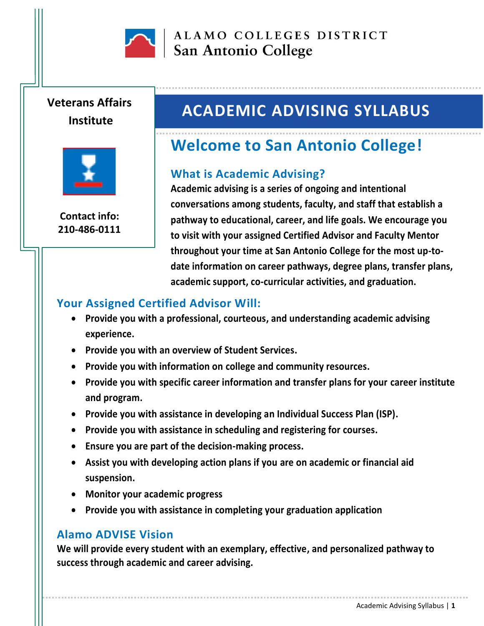

ALAMO COLLEGES DISTRICT San Antonio College

# **Veterans Affairs Institute**



**Contact info: 210-486-0111**

# **ACADEMIC ADVISING SYLLABUS**

# **Welcome to San Antonio College!**

#### **What is Academic Advising?**

**Academic advising is a series of ongoing and intentional conversations among students, faculty, and staff that establish a pathway to educational, career, and life goals. We encourage you to visit with your assigned Certified Advisor and Faculty Mentor throughout your time at San Antonio College for the most up-todate information on career pathways, degree plans, transfer plans, academic support, co-curricular activities, and graduation.**

### **Your Assigned Certified Advisor Will:**

- **Provide you with a professional, courteous, and understanding academic advising experience.**
- **Provide you with an overview of Student Services.**
- **Provide you with information on college and community resources.**
- **Provide you with specific career information and transfer plans for your career institute and program.**
- **Provide you with assistance in developing an Individual Success Plan (ISP).**
- **Provide you with assistance in scheduling and registering for courses.**
- **Ensure you are part of the decision-making process.**
- **Assist you with developing action plans if you are on academic or financial aid suspension.**
- **Monitor your academic progress**
- **Provide you with assistance in completing your graduation application**

#### **Alamo ADVISE Vision**

**We will provide every student with an exemplary, effective, and personalized pathway to success through academic and career advising.**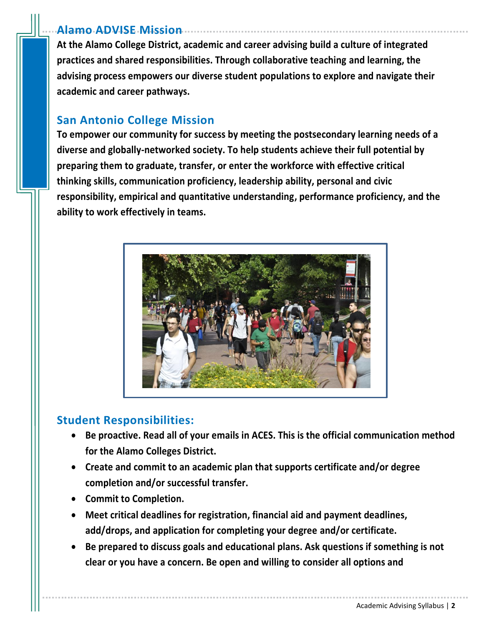#### **Alamo ADVISE Mission**

**At the Alamo College District, academic and career advising build a culture of integrated practices and shared responsibilities. Through collaborative teaching and learning, the advising process empowers our diverse student populations to explore and navigate their academic and career pathways.**

### **San Antonio College Mission**

**To empower our community for success by meeting the postsecondary learning needs of a diverse and globally-networked society. To help students achieve their full potential by preparing them to graduate, transfer, or enter the workforce with effective critical thinking skills, communication proficiency, leadership ability, personal and civic responsibility, empirical and quantitative understanding, performance proficiency, and the ability to work effectively in teams.**



## **Student Responsibilities:**

- **Be proactive. Read all of your emails in ACES. This is the official communication method for the Alamo Colleges District.**
- **Create and commit to an academic plan that supports certificate and/or degree completion and/or successful transfer.**
- **Commit to Completion.**
- **Meet critical deadlines for registration, financial aid and payment deadlines, add/drops, and application for completing your degree and/or certificate.**
- **Be prepared to discuss goals and educational plans. Ask questions if something is not clear or you have a concern. Be open and willing to consider all options and**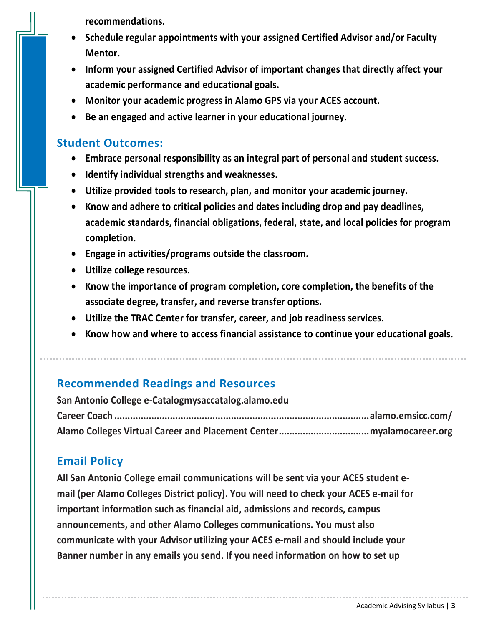**recommendations.**

- **Schedule regular appointments with your assigned Certified Advisor and/or Faculty Mentor.**
- **Inform your assigned Certified Advisor of important changes that directly affect your academic performance and educational goals.**
- **Monitor your academic progress in Alamo GPS via your ACES account.**
- **Be an engaged and active learner in your educational journey.**

#### **Student Outcomes:**

- **Embrace personal responsibility as an integral part of personal and student success.**
- **Identify individual strengths and weaknesses.**
- **Utilize provided tools to research, plan, and monitor your academic journey.**
- **Know and adhere to critical policies and dates including drop and pay deadlines, academic standards, financial obligations, federal, state, and local policies for program completion.**
- **Engage in activities/programs outside the classroom.**
- **Utilize college resources.**
- **Know the importance of program completion, core completion, the benefits of the associate degree, transfer, and reverse transfer options.**
- **Utilize the TRAC Center for transfer, career, and job readiness services.**
- **Know how and where to access financial assistance to continue your educational goals.**

### **Recommended Readings and Resources**

**San Antonio College e-Catalogmysaccatalog.alamo.edu Career Coach ................................................................................................alamo.emsicc.com/ Alamo Colleges Virtual Career and Placement Center..................................myalamocareer.org**

## **Email Policy**

**All San Antonio College email communications will be sent via your ACES student email (per Alamo Colleges District policy). You will need to check your ACES e-mail for important information such as financial aid, admissions and records, campus announcements, and other Alamo Colleges communications. You must also communicate with your Advisor utilizing your ACES e-mail and should include your Banner number in any emails you send. If you need information on how to set up**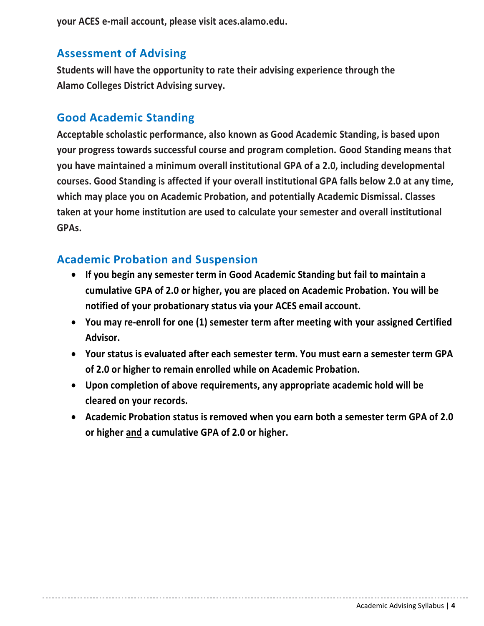**your ACES e-mail account, please visit aces.alamo.edu.**

### **Assessment of Advising**

**Students will have the opportunity to rate their advising experience through the Alamo Colleges District Advising survey.**

### **Good Academic Standing**

**Acceptable scholastic performance, also known as Good Academic Standing, is based upon your progress towards successful course and program completion. Good Standing means that you have maintained a minimum overall institutional GPA of a 2.0, including developmental courses. Good Standing is affected if your overall institutional GPA falls below 2.0 at any time, which may place you on Academic Probation, and potentially Academic Dismissal. Classes taken at your home institution are used to calculate your semester and overall institutional GPAs.**

### **Academic Probation and Suspension**

- **If you begin any semester term in Good Academic Standing but fail to maintain a cumulative GPA of 2.0 or higher, you are placed on Academic Probation. You will be notified of your probationary status via your ACES email account.**
- **You may re-enroll for one (1) semester term after meeting with your assigned Certified Advisor.**
- **Your status is evaluated after each semester term. You must earn a semester term GPA of 2.0 or higher to remain enrolled while on Academic Probation.**
- **Upon completion of above requirements, any appropriate academic hold will be cleared on your records.**
- **Academic Probation status is removed when you earn both a semester term GPA of 2.0 or higher and a cumulative GPA of 2.0 or higher.**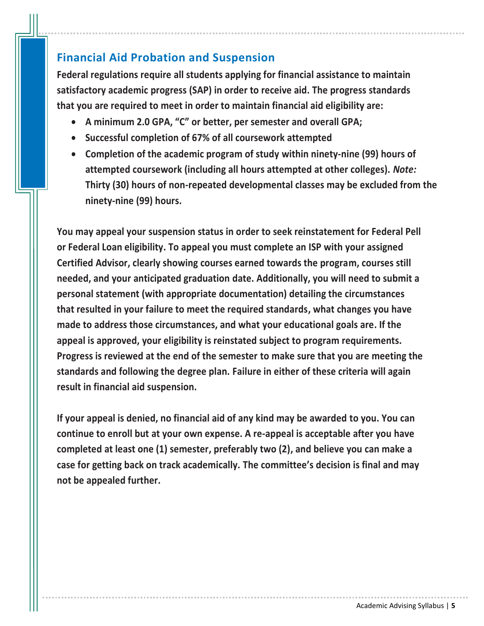### **Financial Aid Probation and Suspension**

**Federal regulations require all students applying for financial assistance to maintain satisfactory academic progress (SAP) in order to receive aid. The progress standards that you are required to meet in order to maintain financial aid eligibility are:**

- **A minimum 2.0 GPA, "C" or better, per semester and overall GPA;**
- **Successful completion of 67% of all coursework attempted**
- **Completion of the academic program of study within ninety-nine (99) hours of attempted coursework (including all hours attempted at other colleges).** *Note:* **Thirty (30) hours of non-repeated developmental classes may be excluded from the ninety-nine (99) hours.**

**You may appeal your suspension status in order to seek reinstatement for Federal Pell or Federal Loan eligibility. To appeal you must complete an ISP with your assigned Certified Advisor, clearly showing courses earned towards the program, courses still needed, and your anticipated graduation date. Additionally, you will need to submit a personal statement (with appropriate documentation) detailing the circumstances that resulted in your failure to meet the required standards, what changes you have made to address those circumstances, and what your educational goals are. If the appeal is approved, your eligibility is reinstated subject to program requirements. Progress is reviewed at the end of the semester to make sure that you are meeting the standards and following the degree plan. Failure in either of these criteria will again result in financial aid suspension.**

**If your appeal is denied, no financial aid of any kind may be awarded to you. You can continue to enroll but at your own expense. A re-appeal is acceptable after you have completed at least one (1) semester, preferably two (2), and believe you can make a case for getting back on track academically. The committee's decision is final and may not be appealed further.**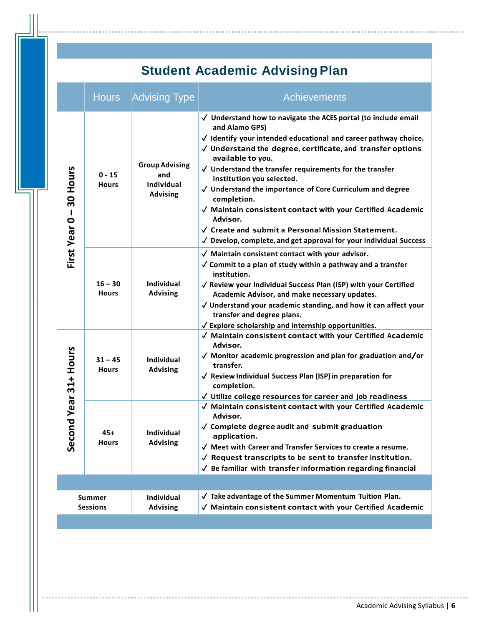# **Student Academic Advising Plan**

|                                                            | <b>Hours</b>              | <b>Advising Type</b>                                          | <b>Achievements</b>                                                                                                                                                                                                                                                                                                                                                                                                                                                                                                                                                                                                                                         |
|------------------------------------------------------------|---------------------------|---------------------------------------------------------------|-------------------------------------------------------------------------------------------------------------------------------------------------------------------------------------------------------------------------------------------------------------------------------------------------------------------------------------------------------------------------------------------------------------------------------------------------------------------------------------------------------------------------------------------------------------------------------------------------------------------------------------------------------------|
| First Year 0 - 30 Hours                                    | $0 - 15$<br><b>Hours</b>  | <b>Group Advising</b><br>and<br>Individual<br><b>Advising</b> | √ Understand how to navigate the ACES portal (to include email<br>and Alamo GPS)<br>$\sqrt{ }$ Identify your intended educational and career pathway choice.<br>$\sqrt{ }$ Understand the degree, certificate, and transfer options<br>available to you.<br>$\sqrt{ }$ Understand the transfer requirements for the transfer<br>institution you selected.<br>$\sqrt{ }$ Understand the importance of Core Curriculum and degree<br>completion.<br>√ Maintain consistent contact with your Certified Academic<br>Advisor.<br>√ Create and submit a Personal Mission Statement.<br>$\sqrt{ }$ Develop, complete, and get approval for your Individual Success |
|                                                            | $16 - 30$<br><b>Hours</b> | <b>Individual</b><br><b>Advising</b>                          | $\sqrt{\phantom{a}}$ Maintain consistent contact with your advisor.<br>$\sqrt{\ }$ Commit to a plan of study within a pathway and a transfer<br>institution.<br>√ Review your Individual Success Plan (ISP) with your Certified<br>Academic Advisor, and make necessary updates.<br>$\sqrt$ Understand your academic standing, and how it can affect your<br>transfer and degree plans.<br>$\sqrt{\frac{1}{2}}$ Explore scholarship and internship opportunities.                                                                                                                                                                                           |
| cond Year 31+ Hours<br>တိ                                  | $31 - 45$<br><b>Hours</b> | <b>Individual</b><br><b>Advising</b>                          | √ Maintain consistent contact with your Certified Academic<br>Advisor.<br>$\sqrt{ }$ Monitor academic progression and plan for graduation and/or<br>transfer.<br>$\sqrt{ }$ Review Individual Success Plan (ISP) in preparation for<br>completion.<br>$\sqrt{ }$ Utilize college resources for career and job readiness                                                                                                                                                                                                                                                                                                                                     |
|                                                            | 45+<br>Hours              | <b>Individual</b><br><b>Advising</b>                          | √ Maintain consistent contact with your Certified Academic<br>Advisor.<br>$\sqrt{\ }$ Complete degree audit and submit graduation<br>application.<br>$\sqrt{ }$ Meet with Career and Transfer Services to create a resume.<br>$\sqrt{\ }$ Request transcripts to be sent to transfer institution.<br>$\sqrt{ }$ Be familiar with transfer information regarding financial                                                                                                                                                                                                                                                                                   |
| Individual<br>Summer<br><b>Sessions</b><br><b>Advising</b> |                           |                                                               | $\sqrt{ }$ Take advantage of the Summer Momentum Tuition Plan.<br>√ Maintain consistent contact with your Certified Academic                                                                                                                                                                                                                                                                                                                                                                                                                                                                                                                                |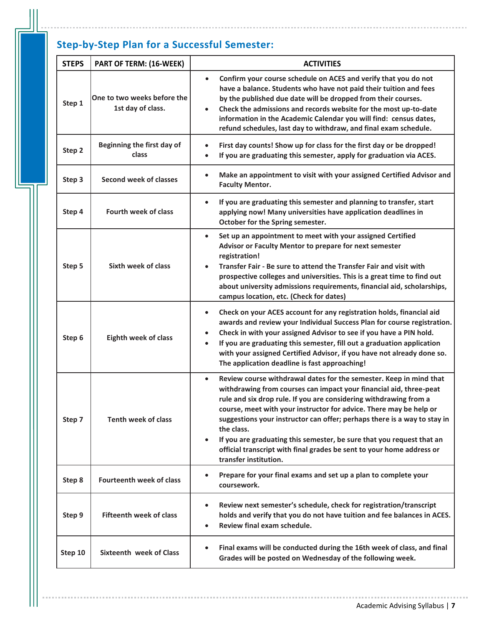# **Step-by-Step Plan for a Successful Semester:**

| <b>STEPS</b> | PART OF TERM: (16-WEEK)                          | <b>ACTIVITIES</b>                                                                                                                                                                                                                                                                                                                                                                                                                                                                                                                                                                  |  |
|--------------|--------------------------------------------------|------------------------------------------------------------------------------------------------------------------------------------------------------------------------------------------------------------------------------------------------------------------------------------------------------------------------------------------------------------------------------------------------------------------------------------------------------------------------------------------------------------------------------------------------------------------------------------|--|
| Step 1       | One to two weeks before the<br>1st day of class. | Confirm your course schedule on ACES and verify that you do not<br>$\bullet$<br>have a balance. Students who have not paid their tuition and fees<br>by the published due date will be dropped from their courses.<br>Check the admissions and records website for the most up-to-date<br>$\bullet$<br>information in the Academic Calendar you will find: census dates,<br>refund schedules, last day to withdraw, and final exam schedule.                                                                                                                                       |  |
| Step 2       | Beginning the first day of<br>class              | First day counts! Show up for class for the first day or be dropped!<br>$\bullet$<br>If you are graduating this semester, apply for graduation via ACES.<br>$\bullet$                                                                                                                                                                                                                                                                                                                                                                                                              |  |
| Step 3       | Second week of classes                           | Make an appointment to visit with your assigned Certified Advisor and<br>$\bullet$<br><b>Faculty Mentor.</b>                                                                                                                                                                                                                                                                                                                                                                                                                                                                       |  |
| Step 4       | <b>Fourth week of class</b>                      | If you are graduating this semester and planning to transfer, start<br>$\bullet$<br>applying now! Many universities have application deadlines in<br>October for the Spring semester.                                                                                                                                                                                                                                                                                                                                                                                              |  |
| Step 5       | <b>Sixth week of class</b>                       | Set up an appointment to meet with your assigned Certified<br>$\bullet$<br>Advisor or Faculty Mentor to prepare for next semester<br>registration!<br>Transfer Fair - Be sure to attend the Transfer Fair and visit with<br>$\bullet$<br>prospective colleges and universities. This is a great time to find out<br>about university admissions requirements, financial aid, scholarships,<br>campus location, etc. (Check for dates)                                                                                                                                              |  |
| Step 6       | <b>Eighth week of class</b>                      | Check on your ACES account for any registration holds, financial aid<br>$\bullet$<br>awards and review your Individual Success Plan for course registration.<br>Check in with your assigned Advisor to see if you have a PIN hold.<br>$\bullet$<br>If you are graduating this semester, fill out a graduation application<br>$\bullet$<br>with your assigned Certified Advisor, if you have not already done so.<br>The application deadline is fast approaching!                                                                                                                  |  |
| Step 7       | <b>Tenth week of class</b>                       | Review course withdrawal dates for the semester. Keep in mind that<br>$\bullet$<br>withdrawing from courses can impact your financial aid, three-peat<br>rule and six drop rule. If you are considering withdrawing from a<br>course, meet with your instructor for advice. There may be help or<br>suggestions your instructor can offer; perhaps there is a way to stay in<br>the class.<br>If you are graduating this semester, be sure that you request that an<br>$\bullet$<br>official transcript with final grades be sent to your home address or<br>transfer institution. |  |
| Step 8       | <b>Fourteenth week of class</b>                  | Prepare for your final exams and set up a plan to complete your<br>$\bullet$<br>coursework.                                                                                                                                                                                                                                                                                                                                                                                                                                                                                        |  |
| Step 9       | <b>Fifteenth week of class</b>                   | Review next semester's schedule, check for registration/transcript<br>holds and verify that you do not have tuition and fee balances in ACES.<br>Review final exam schedule.<br>$\bullet$                                                                                                                                                                                                                                                                                                                                                                                          |  |
| Step 10      | Sixteenth week of Class                          | Final exams will be conducted during the 16th week of class, and final<br>$\bullet$<br>Grades will be posted on Wednesday of the following week.                                                                                                                                                                                                                                                                                                                                                                                                                                   |  |